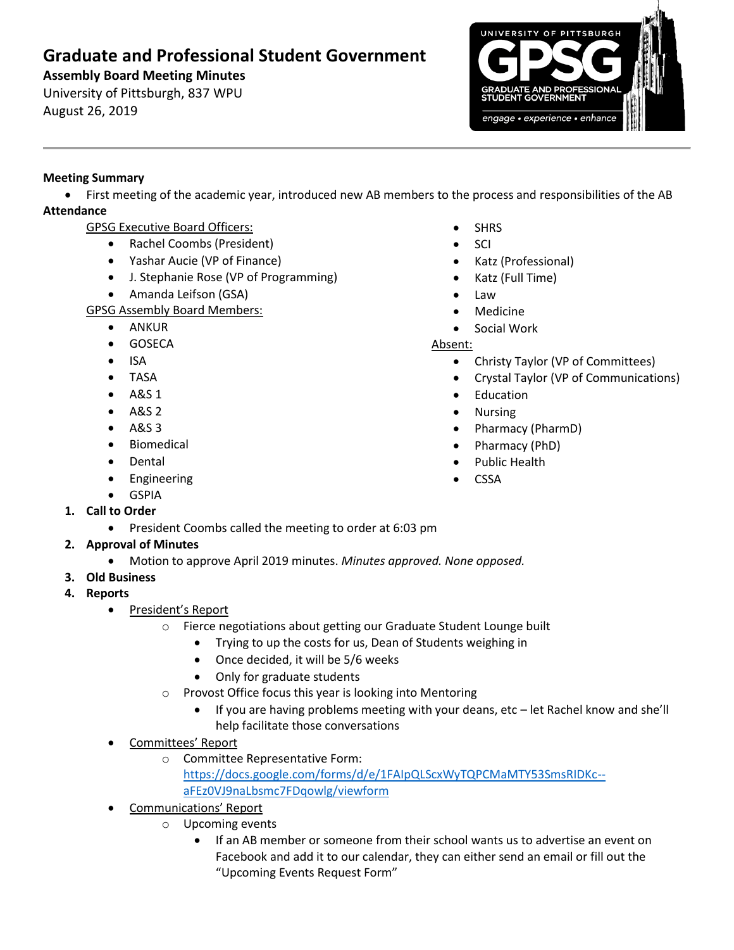## **Graduate and Professional Student Government**

**Assembly Board Meeting Minutes**

University of Pittsburgh, 837 WPU August 26, 2019



## **Meeting Summary**

• First meeting of the academic year, introduced new AB members to the process and responsibilities of the AB **Attendance**

- GPSG Executive Board Officers:
	- Rachel Coombs (President)
	- Yashar Aucie (VP of Finance)
	- J. Stephanie Rose (VP of Programming)
	- Amanda Leifson (GSA)
- GPSG Assembly Board Members:
	- ANKUR
	- GOSECA
	- ISA
	- TASA
	- A&S 1
	- A&S 2
	- $\bullet$  A&S 3
	- Biomedical
	- Dental
	- Engineering
	-
	-
	-
	-
	-
	-
	- **GSPIA**
- **1. Call to Order**
	- President Coombs called the meeting to order at 6:03 pm
- **2. Approval of Minutes** 
	- Motion to approve April 2019 minutes. *Minutes approved. None opposed.*
- **3. Old Business**
- **4. Reports** 
	- President's Report
		- o Fierce negotiations about getting our Graduate Student Lounge built
			- Trying to up the costs for us, Dean of Students weighing in
			- Once decided, it will be 5/6 weeks
			- Only for graduate students
		- o Provost Office focus this year is looking into Mentoring
			- If you are having problems meeting with your deans, etc let Rachel know and she'll help facilitate those conversations
	- Committees' Report
		- o Committee Representative Form: [https://docs.google.com/forms/d/e/1FAIpQLScxWyTQPCMaMTY53SmsRIDKc-](https://docs.google.com/forms/d/e/1FAIpQLScxWyTQPCMaMTY53SmsRIDKc--aFEz0VJ9naLbsmc7FDqowlg/viewform)
			- [aFEz0VJ9naLbsmc7FDqowlg/viewform](https://docs.google.com/forms/d/e/1FAIpQLScxWyTQPCMaMTY53SmsRIDKc--aFEz0VJ9naLbsmc7FDqowlg/viewform)
	- Communications' Report
		- o Upcoming events
			- If an AB member or someone from their school wants us to advertise an event on Facebook and add it to our calendar, they can either send an email or fill out the "Upcoming Events Request Form"
- **SHRS**
- SCI
- Katz (Professional)
- Katz (Full Time)
- Law
- **Medicine**
- Social Work

## Absent:

- Christy Taylor (VP of Committees)
- Crystal Taylor (VP of Communications)
- Education
- Nursing
- Pharmacy (PharmD)
- Pharmacy (PhD)
- Public Health
- CSSA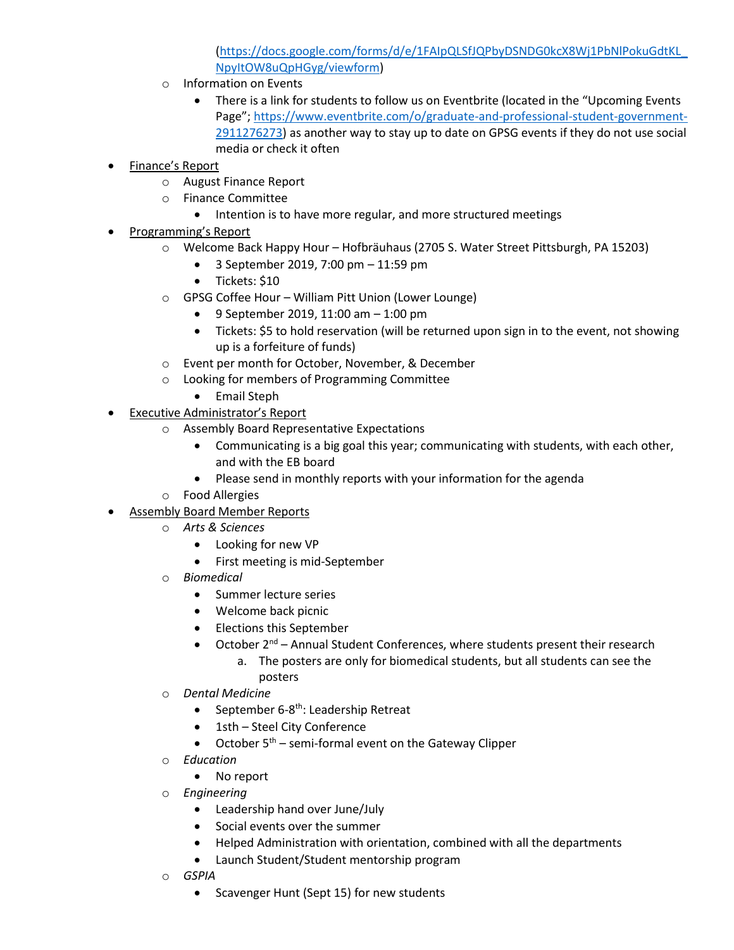[\(https://docs.google.com/forms/d/e/1FAIpQLSfJQPbyDSNDG0kcX8Wj1PbNlPokuGdtKL\\_](https://docs.google.com/forms/d/e/1FAIpQLSfJQPbyDSNDG0kcX8Wj1PbNlPokuGdtKL_NpyItOW8uQpHGyg/viewform) [NpyItOW8uQpHGyg/viewform\)](https://docs.google.com/forms/d/e/1FAIpQLSfJQPbyDSNDG0kcX8Wj1PbNlPokuGdtKL_NpyItOW8uQpHGyg/viewform)

- o Information on Events
	- There is a link for students to follow us on Eventbrite (located in the "Upcoming Events" Page"; [https://www.eventbrite.com/o/graduate-and-professional-student-government-](https://www.eventbrite.com/o/graduate-and-professional-student-government-2911276273)[2911276273\)](https://www.eventbrite.com/o/graduate-and-professional-student-government-2911276273) as another way to stay up to date on GPSG events if they do not use social media or check it often
- Finance's Report
	- o August Finance Report
	- o Finance Committee
		- Intention is to have more regular, and more structured meetings
- Programming's Report
	- o Welcome Back Happy Hour Hofbräuhaus (2705 S. Water Street Pittsburgh, PA 15203)
		- 3 September 2019, 7:00 pm 11:59 pm
		- Tickets: \$10
	- o GPSG Coffee Hour William Pitt Union (Lower Lounge)
		- 9 September 2019, 11:00 am 1:00 pm
		- Tickets: \$5 to hold reservation (will be returned upon sign in to the event, not showing up is a forfeiture of funds)
	- o Event per month for October, November, & December
	- o Looking for members of Programming Committee
		- Email Steph
- Executive Administrator's Report
	- o Assembly Board Representative Expectations
		- Communicating is a big goal this year; communicating with students, with each other, and with the EB board
		- Please send in monthly reports with your information for the agenda
	- o Food Allergies
- Assembly Board Member Reports
	- o *Arts & Sciences*
		- Looking for new VP
		- First meeting is mid-September
	- o *Biomedical*
		- Summer lecture series
		- Welcome back picnic
		- Elections this September
		- October  $2^{nd}$  Annual Student Conferences, where students present their research
			- a. The posters are only for biomedical students, but all students can see the posters
	- o *Dental Medicine*
		- September 6-8<sup>th</sup>: Leadership Retreat
		- 1sth Steel City Conference
		- October  $5<sup>th</sup>$  semi-formal event on the Gateway Clipper
	- o *Education*
		- No report
	- o *Engineering*
		- Leadership hand over June/July
		- Social events over the summer
		- Helped Administration with orientation, combined with all the departments
		- Launch Student/Student mentorship program
	- o *GSPIA*
		- Scavenger Hunt (Sept 15) for new students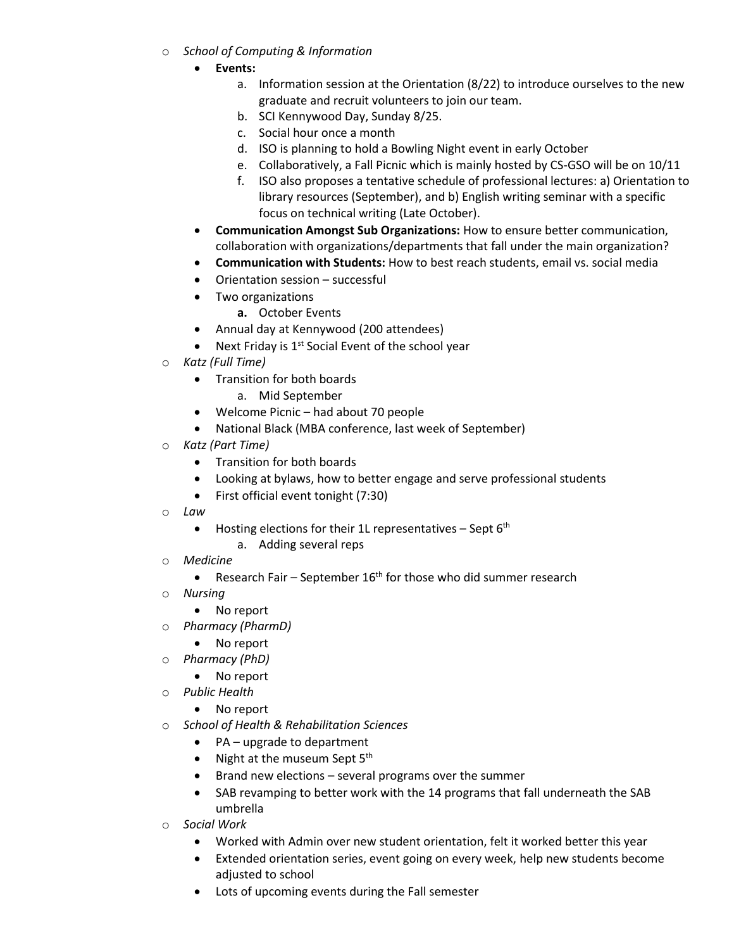- o *School of Computing & Information*
	- **Events:** 
		- a. Information session at the Orientation (8/22) to introduce ourselves to the new graduate and recruit volunteers to join our team.
		- b. SCI Kennywood Day, Sunday 8/25.
		- c. Social hour once a month
		- d. ISO is planning to hold a Bowling Night event in early October
		- e. Collaboratively, a Fall Picnic which is mainly hosted by CS-GSO will be on 10/11
		- f. ISO also proposes a tentative schedule of professional lectures: a) Orientation to library resources (September), and b) English writing seminar with a specific focus on technical writing (Late October).
	- **Communication Amongst Sub Organizations:** How to ensure better communication, collaboration with organizations/departments that fall under the main organization?
	- **Communication with Students:** How to best reach students, email vs. social media
	- Orientation session successful
	- Two organizations
		- **a.** October Events
	- Annual day at Kennywood (200 attendees)
	- Next Friday is  $1^{st}$  Social Event of the school year
- o *Katz (Full Time)*
	- Transition for both boards
		- a. Mid September
	- Welcome Picnic had about 70 people
	- National Black (MBA conference, last week of September)
- o *Katz (Part Time)*
	- Transition for both boards
	- Looking at bylaws, how to better engage and serve professional students
	- First official event tonight (7:30)
- o *Law*
	- Hosting elections for their 1L representatives Sept  $6<sup>th</sup>$ 
		- a. Adding several reps
- o *Medicine*
	- Research Fair September  $16<sup>th</sup>$  for those who did summer research
- o *Nursing* 
	- No report
- o *Pharmacy (PharmD)*
	- No report
- o *Pharmacy (PhD)*
	- No report
- o *Public Health*
	- No report
- o *School of Health & Rehabilitation Sciences*
	- PA upgrade to department
	- Night at the museum Sept  $5<sup>th</sup>$
	- Brand new elections several programs over the summer
	- SAB revamping to better work with the 14 programs that fall underneath the SAB umbrella
- o *Social Work*
	- Worked with Admin over new student orientation, felt it worked better this year
	- Extended orientation series, event going on every week, help new students become adjusted to school
	- Lots of upcoming events during the Fall semester